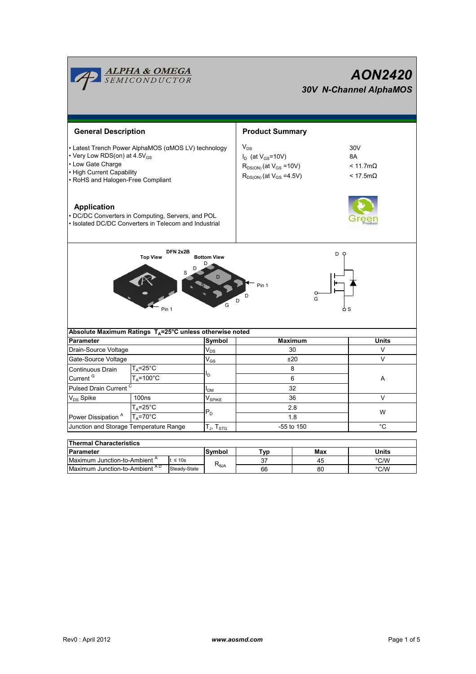|                                                                                                                                                                                        | <b>ALPHA &amp; OMEGA</b><br>SEMICONDUCTOR                |              |                         | <b>AON2420</b><br><b>30V N-Channel AlphaMOS</b>                                                               |                                                         |                   |  |  |
|----------------------------------------------------------------------------------------------------------------------------------------------------------------------------------------|----------------------------------------------------------|--------------|-------------------------|---------------------------------------------------------------------------------------------------------------|---------------------------------------------------------|-------------------|--|--|
| <b>General Description</b>                                                                                                                                                             |                                                          |              |                         | <b>Product Summary</b>                                                                                        |                                                         |                   |  |  |
| • Latest Trench Power AlphaMOS (αMOS LV) technology<br>• Very Low RDS(on) at 4.5V <sub>GS</sub><br>• Low Gate Charge<br>• High Current Capability<br>· RoHS and Halogen-Free Compliant |                                                          |              |                         | $V_{DS}$<br>$I_D$ (at $V_{GS}$ =10V)<br>$R_{DS(ON)}$ (at $V_{GS}$ =10V)<br>$R_{DS(ON)}$ (at $V_{GS} = 4.5V$ ) | 30V<br>8A<br>$< 11.7 \text{m}\Omega$<br>$< 17.5m\Omega$ |                   |  |  |
| <b>Application</b><br>• DC/DC Converters in Computing, Servers, and POL<br>· Isolated DC/DC Converters in Telecom and Industrial                                                       |                                                          |              |                         |                                                                                                               |                                                         |                   |  |  |
|                                                                                                                                                                                        | <b>Top View</b><br>Pin 1                                 |              | <b>Bottom View</b><br>G | Pin 1                                                                                                         | D<br>G                                                  |                   |  |  |
| Absolute Maximum Ratings $T_A = 25^\circ C$ unless otherwise noted                                                                                                                     |                                                          |              |                         |                                                                                                               |                                                         |                   |  |  |
| <b>Parameter</b>                                                                                                                                                                       |                                                          |              | Symbol                  | <b>Maximum</b><br>30                                                                                          |                                                         | <b>Units</b><br>V |  |  |
| Drain-Source Voltage                                                                                                                                                                   |                                                          |              | $V_{DS}$                | ±20                                                                                                           | V                                                       |                   |  |  |
| Gate-Source Voltage<br>$T_A = 25$ °C                                                                                                                                                   |                                                          |              | $V_{GS}$                | 8                                                                                                             |                                                         |                   |  |  |
| Continuous Drain<br>Current <sup>G</sup><br>$T_A = 100^{\circ}$ C                                                                                                                      |                                                          |              | l <sub>D</sub>          |                                                                                                               | A                                                       |                   |  |  |
|                                                                                                                                                                                        |                                                          |              | 6                       |                                                                                                               |                                                         |                   |  |  |
| Pulsed Drain Current <sup>C</sup>                                                                                                                                                      |                                                          |              | I <sub>DM</sub>         | 32                                                                                                            |                                                         | $\vee$            |  |  |
| V <sub>DS</sub> Spike                                                                                                                                                                  | 100 <sub>ns</sub>                                        |              | $V_{SPIKE}$             | 36<br>2.8                                                                                                     |                                                         |                   |  |  |
| $T_A = 25$ °C<br>$T_A = 70^\circ C$                                                                                                                                                    |                                                          | $P_D$        |                         | 1.8                                                                                                           | W                                                       |                   |  |  |
| Power Dissipation <sup>A</sup><br>Junction and Storage Temperature Range                                                                                                               |                                                          |              | $T_J$ , $T_{STG}$       | -55 to 150                                                                                                    | $^{\circ}$ C                                            |                   |  |  |
|                                                                                                                                                                                        |                                                          |              |                         |                                                                                                               |                                                         |                   |  |  |
| <b>Thermal Characteristics</b>                                                                                                                                                         |                                                          |              |                         |                                                                                                               |                                                         |                   |  |  |
| Parameter                                                                                                                                                                              |                                                          |              | Symbol                  | Typ                                                                                                           | Max                                                     | Units             |  |  |
|                                                                                                                                                                                        | Maximum Junction-to-Ambient <sup>A</sup><br>$t \leq 10s$ |              | $R_{\theta$ JA          | 37                                                                                                            | 45                                                      | °C/W              |  |  |
| Maximum Junction-to-Ambient AD                                                                                                                                                         |                                                          | Steady-State |                         | 66                                                                                                            | 80                                                      | °C/W              |  |  |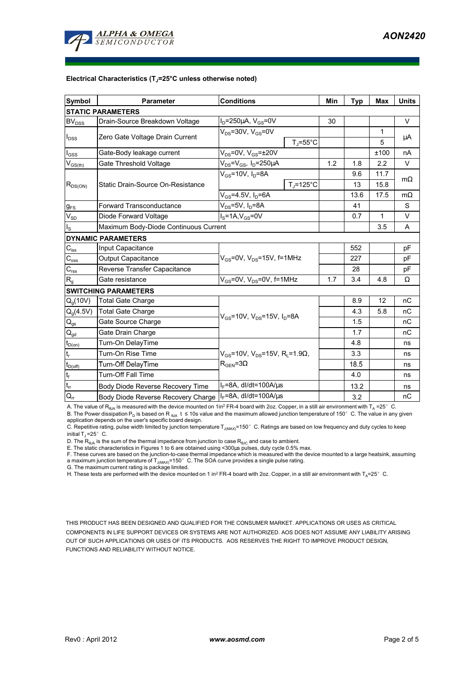

#### **Electrical Characteristics (TJ=25°C unless otherwise noted)**

| <b>Symbol</b>                                      | <b>Parameter</b>                      | <b>Conditions</b>                                                                               |                    | Min  | <b>Typ</b> | <b>Max</b>   | <b>Units</b> |  |  |  |  |  |
|----------------------------------------------------|---------------------------------------|-------------------------------------------------------------------------------------------------|--------------------|------|------------|--------------|--------------|--|--|--|--|--|
| <b>STATIC PARAMETERS</b>                           |                                       |                                                                                                 |                    |      |            |              |              |  |  |  |  |  |
| <b>BV<sub>DSS</sub></b>                            | Drain-Source Breakdown Voltage        | $I_D = 250 \mu A$ , $V_{GS} = 0V$                                                               |                    | 30   |            |              | $\vee$       |  |  |  |  |  |
| $I_{\text{DSS}}$                                   | Zero Gate Voltage Drain Current       | $V_{DS}$ =30V, $V_{GS}$ =0V                                                                     |                    |      |            | 1            | μA           |  |  |  |  |  |
|                                                    |                                       |                                                                                                 | $T_{\rm J}$ =55°C  |      |            | 5            |              |  |  |  |  |  |
| $I_{GSS}$                                          | Gate-Body leakage current             | $V_{DS}$ =0V, $V_{GS}$ = $\pm$ 20V                                                              |                    |      |            | ±100         | nA           |  |  |  |  |  |
| $\mathsf{V}_{\mathsf{GS}(\underbar{\mathsf{th}})}$ | Gate Threshold Voltage                | $V_{DS} = V_{GS}$ , $I_D = 250 \mu A$                                                           |                    | 1.2  | 1.8        | 2.2          | $\vee$       |  |  |  |  |  |
| $R_{DS(ON)}$                                       | Static Drain-Source On-Resistance     | $V_{GS}$ =10V, $I_D$ =8A                                                                        |                    |      | 9.6        | 11.7         |              |  |  |  |  |  |
|                                                    |                                       |                                                                                                 | $T_{\rm J}$ =125°C |      | 13         | 15.8         | $m\Omega$    |  |  |  |  |  |
|                                                    |                                       | $V_{GS}$ =4.5V, $I_D$ =6A                                                                       |                    | 13.6 | 17.5       | $m\Omega$    |              |  |  |  |  |  |
| $g_{FS}$                                           | <b>Forward Transconductance</b>       | $V_{DS}$ =5V, I <sub>D</sub> =8A                                                                |                    | 41   |            | S            |              |  |  |  |  |  |
| $V_{SD}$                                           | Diode Forward Voltage                 | $IS=1A, VGS=0V$                                                                                 |                    |      | 0.7        | $\mathbf{1}$ | $\vee$       |  |  |  |  |  |
| $I_{\rm S}$                                        | Maximum Body-Diode Continuous Current |                                                                                                 |                    | 3.5  | A          |              |              |  |  |  |  |  |
|                                                    | <b>DYNAMIC PARAMETERS</b>             |                                                                                                 |                    |      |            |              |              |  |  |  |  |  |
| $C_{\text{iss}}$                                   | Input Capacitance                     |                                                                                                 |                    | 552  |            | pF           |              |  |  |  |  |  |
| $C_{\rm oss}$                                      | Output Capacitance                    | $V_{GS}$ =0V, $V_{DS}$ =15V, f=1MHz                                                             |                    |      | 227        |              | pF           |  |  |  |  |  |
| $C_{\text{rss}}$                                   | Reverse Transfer Capacitance          |                                                                                                 |                    | 28   |            | pF           |              |  |  |  |  |  |
| R <sub>g</sub>                                     | Gate resistance                       | $V_{GS}$ =0V, $V_{DS}$ =0V, f=1MHz                                                              |                    | 1.7  | 3.4        | 4.8          | Ω            |  |  |  |  |  |
|                                                    | <b>SWITCHING PARAMETERS</b>           |                                                                                                 |                    |      |            |              |              |  |  |  |  |  |
| Q <sub>a</sub> (10V)                               | <b>Total Gate Charge</b>              | $V_{GS}$ =10V, $V_{DS}$ =15V, $I_D$ =8A                                                         |                    |      | 8.9        | 12           | nC           |  |  |  |  |  |
| $Q_g(4.5V)$                                        | <b>Total Gate Charge</b>              |                                                                                                 |                    |      | 4.3        | 5.8          | nC           |  |  |  |  |  |
| $\mathsf{Q}_{\mathsf{gs}}$                         | Gate Source Charge                    |                                                                                                 |                    |      | 1.5        |              | nC           |  |  |  |  |  |
| $Q_{gd}$                                           | Gate Drain Charge                     |                                                                                                 |                    |      | 1.7        |              | nC           |  |  |  |  |  |
| $t_{D(on)}$                                        | Turn-On DelayTime                     | $V_{\text{GS}}$ =10V, $V_{\text{DS}}$ =15V, R <sub>i</sub> =1.9Ω,<br>$R_{\text{GEN}} = 3\Omega$ |                    |      | 4.8        |              | ns           |  |  |  |  |  |
| $\mathsf{t}_{\mathsf{r}}$                          | Turn-On Rise Time                     |                                                                                                 |                    |      | 3.3        |              | ns           |  |  |  |  |  |
| $t_{D(\text{off})}$                                | Turn-Off DelayTime                    |                                                                                                 |                    |      | 18.5       |              | ns           |  |  |  |  |  |
| $\mathfrak{t}_{\mathsf{f}}$                        | Turn-Off Fall Time                    |                                                                                                 |                    |      | 4.0        |              | ns           |  |  |  |  |  |
| $t_{rr}$                                           | Body Diode Reverse Recovery Time      | $I_F = 8A$ , dl/dt=100A/ $\mu$ s                                                                |                    |      | 13.2       |              | ns           |  |  |  |  |  |
| $Q_{rr}$                                           | Body Diode Reverse Recovery Charge    | $I_F = 8A$ , dl/dt=100A/ $\mu$ s                                                                |                    |      | 3.2        |              | nC           |  |  |  |  |  |

A. The value of R<sub>BJA</sub> is measured with the device mounted on 1in<sup>2</sup> FR-4 board with 2oz. Copper, in a still air environment with T<sub>A</sub> =25°C. B. The Power dissipation P<sub>D</sub> is based on R <sub>⊕JA</sub>t≤10s value and the maximum allowed junction temperature of 150°C. The value in any given<br>application depends on the user's specific board design.<br>C. Repetitive rating, pul

initial  $T_{\text{J}}$  =25° C.

D. The  $R_{\theta JA}$  is the sum of the thermal impedance from junction to case  $R_{\theta JC}$  and case to ambient.

E. The static characteristics in Figures 1 to 6 are obtained using <300µs pulses, duty cycle 0.5% max.<br>F. These curves are based on the junction-to-case thermal impedance which is measured with the device mounted to a larg a maximum junction temperature of T<sub>J(MAX)</sub>=150°C. The SOA curve provides a single pulse rating.<br>G. The maximum current rating is package limited.

H. These tests are performed with the device mounted on 1 in<sup>2</sup> FR-4 board with 2oz. Copper, in a still air environment with T<sub>A</sub>=25°C.

THIS PRODUCT HAS BEEN DESIGNED AND QUALIFIED FOR THE CONSUMER MARKET. APPLICATIONS OR USES AS CRITICAL COMPONENTS IN LIFE SUPPORT DEVICES OR SYSTEMS ARE NOT AUTHORIZED. AOS DOES NOT ASSUME ANY LIABILITY ARISING OUT OF SUCH APPLICATIONS OR USES OF ITS PRODUCTS. AOS RESERVES THE RIGHT TO IMPROVE PRODUCT DESIGN, FUNCTIONS AND RELIABILITY WITHOUT NOTICE.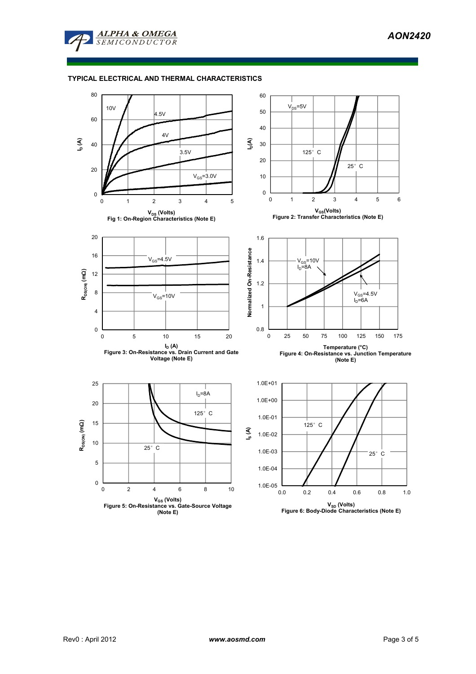

# **TYPICAL ELECTRICAL AND THERMAL CHARACTERISTICS**

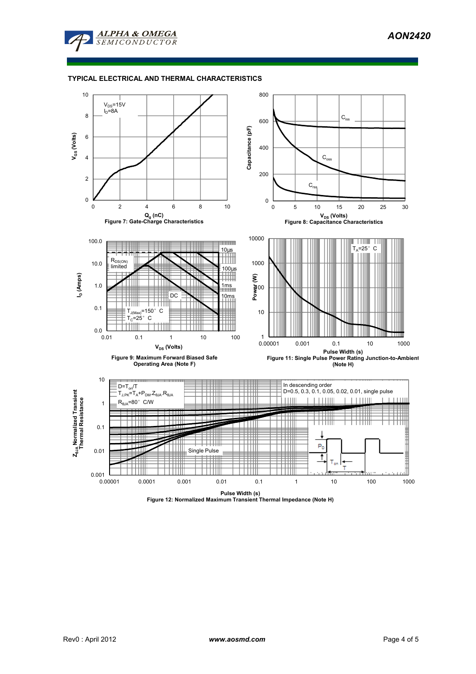

# **TYPICAL ELECTRICAL AND THERMAL CHARACTERISTICS**